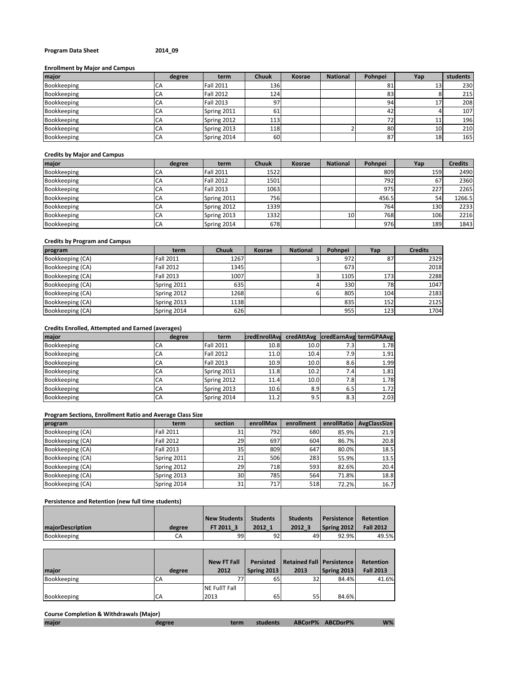## **Program Data Sheet 2014\_09**

## **Enrollment by Major and Campus**

| major       | degree | term             | <b>Chuuk</b> | <b>Kosrae</b> | <b>National</b> | Pohnpei | Yap             | students |
|-------------|--------|------------------|--------------|---------------|-----------------|---------|-----------------|----------|
| Bookkeeping | CΑ     | <b>Fall 2011</b> | 136          |               |                 | 81      |                 | 230      |
| Bookkeeping | CA     | <b>Fall 2012</b> | 124          |               |                 | 83      |                 | 215      |
| Bookkeeping | CA     | <b>Fall 2013</b> | 97           |               |                 | 94      | <b>L</b>        | 208      |
| Bookkeeping | СA     | Spring 2011      | 61           |               |                 | 42      |                 | 107      |
| Bookkeeping | CA     | Spring 2012      | 113          |               |                 | 72      | 11              | 196      |
| Bookkeeping | CA     | Spring 2013      | 118          |               |                 | 80      | 10 <sub>1</sub> | 210      |
| Bookkeeping | CA     | Spring 2014      | 60           |               |                 | 87      | 18              | 165      |

## **Credits by Major and Campus**

| major       | degree | term             | <b>Chuuk</b> | <b>Kosrae</b> | <b>National</b> | Pohnpei | Yap | <b>Credits</b> |
|-------------|--------|------------------|--------------|---------------|-----------------|---------|-----|----------------|
| Bookkeeping | CΑ     | <b>Fall 2011</b> | 1522         |               |                 | 809     | 159 | 2490           |
| Bookkeeping | CA     | <b>Fall 2012</b> | 1501         |               |                 | 792     | 67  | 2360           |
| Bookkeeping | CA     | <b>Fall 2013</b> | 1063         |               |                 | 975     | 227 | 2265           |
| Bookkeeping | CA     | Spring 2011      | 756          |               |                 | 456.5   | 54  | 1266.5         |
| Bookkeeping | СA     | Spring 2012      | 1339         |               |                 | 764     | 130 | 2233           |
| Bookkeeping | ĆА     | Spring 2013      | 1332         |               | 10              | 768     | 106 | 2216           |
| Bookkeeping | CA     | Spring 2014      | 678          |               |                 | 976     | 189 | 1843           |

## **Credits by Program and Campus**

| program          | term             | <b>Chuuk</b> | Kosrae | <b>National</b> | Pohnpei | Yap | <b>Credits</b> |
|------------------|------------------|--------------|--------|-----------------|---------|-----|----------------|
| Bookkeeping (CA) | <b>Fall 2011</b> | 1267         |        |                 | 972     | 87  | 2329           |
| Bookkeeping (CA) | <b>Fall 2012</b> | 1345         |        |                 | 673     |     | 2018           |
| Bookkeeping (CA) | <b>Fall 2013</b> | 1007         |        |                 | 1105    | 173 | 2288           |
| Bookkeeping (CA) | Spring 2011      | 635          |        |                 | 330     | 78  | 1047           |
| Bookkeeping (CA) | Spring 2012      | 1268         |        |                 | 805     | 104 | 2183           |
| Bookkeeping (CA) | Spring 2013      | 1138         |        |                 | 835     | 152 | 2125           |
| Bookkeeping (CA) | Spring 2014      | 626          |        |                 | 955     | 123 | 1704           |

## **Credits Enrolled, Attempted and Earned (averages)**

| major              | degree | term             | credEnrollAva |      |      | credAttAvg credEarnAvg termGPAAvg |
|--------------------|--------|------------------|---------------|------|------|-----------------------------------|
| <b>Bookkeeping</b> | CA     | <b>Fall 2011</b> | 10.8          | 10.0 | 7.31 | 1.78                              |
| <b>Bookkeeping</b> | СA     | <b>Fall 2012</b> | 11.0          | 10.4 | 7.91 | 1.91                              |
| <b>Bookkeeping</b> | CA     | <b>Fall 2013</b> | 10.9          | 10.0 | 8.6  | 1.99                              |
| Bookkeeping        | CA     | Spring 2011      | 11.8          | 10.2 | 7.41 | 1.81                              |
| <b>Bookkeeping</b> | СA     | Spring 2012      | 11.4          | 10.0 | 7.8I | 1.78                              |
| Bookkeeping        | CA     | Spring 2013      | 10.6          | 8.9  | 6.5  | 1.72                              |
| Bookkeeping        | CA     | Spring 2014      | 11.2          | 9.5  | 8.3  | 2.03                              |

### **Program Sections, Enrollment Ratio and Average Class Size**

| program          | term             | section         | enrollMax | enrollment |       | enrollRatio AvgClassSize |
|------------------|------------------|-----------------|-----------|------------|-------|--------------------------|
| Bookkeeping (CA) | <b>Fall 2011</b> | 31              | 792       | 680        | 85.9% | 21.9                     |
| Bookkeeping (CA) | Fall 2012        | 29              | 697       | 604        | 86.7% | 20.8                     |
| Bookkeeping (CA) | Fall 2013        | 35 <sub>1</sub> | 809       | 647        | 80.0% | 18.5                     |
| Bookkeeping (CA) | Spring 2011      | 21              | 506       | 283        | 55.9% | 13.5                     |
| Bookkeeping (CA) | Spring 2012      | 29              | 718       | 593        | 82.6% | 20.4                     |
| Bookkeeping (CA) | Spring 2013      | 30              | 785       | 564        | 71.8% | 18.8                     |
| Bookkeeping (CA) | Spring 2014      | 31              | 717       | 518        | 72.2% | 16.7                     |

# **Persistence and Retention (new full time students)**

|                         |        | New Students | <b>Students</b> | <b>Students</b> | <b>Persistence</b> | Retention        |
|-------------------------|--------|--------------|-----------------|-----------------|--------------------|------------------|
| <b>majorDescription</b> | degree | FT 2011 3    | 2012 1          | 2012 3          | Spring 2012        | <b>Fall 2012</b> |
| Bookkeeping             | СA     | 99           | 92              | 49              | 92.9%              | 49.5%            |

| maior       | degree | <b>New FT Fall</b><br>2012 | Persisted<br>Spring 2013 | Retained Fall   Persistence<br>2013 | Spring 2013 | Retention<br><b>Fall 2013</b> |
|-------------|--------|----------------------------|--------------------------|-------------------------------------|-------------|-------------------------------|
| Bookkeeping | СA     |                            | 65                       | 32                                  | 84.4%       | 41.6%                         |
|             |        | <b>NE FullT Fall</b>       |                          |                                     |             |                               |
| Bookkeeping | CA     | 2013                       | 65                       | 55                                  | 84.6%       |                               |

## **Course Completion & Withdrawals (Major)**

| degree<br>major | term | students |  | ABCorP% ABCDorP% | $W\%$ |
|-----------------|------|----------|--|------------------|-------|
|-----------------|------|----------|--|------------------|-------|